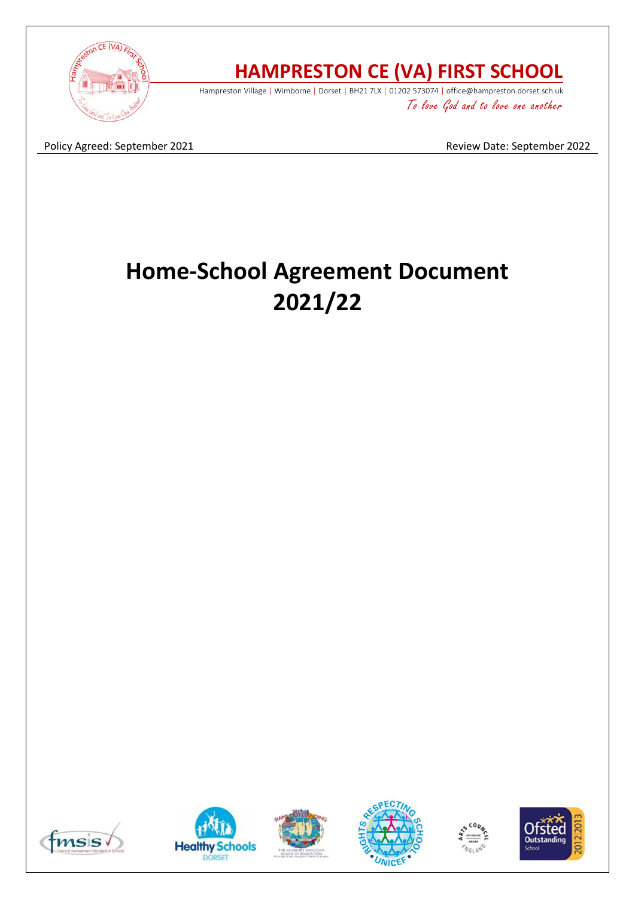

# **HAMPRESTON CE (VA) FIRST SCHOOL**

Hampreston Village | Wimborne | Dorset | BH21 7LX | 01202 573074 | office@hampreston.dorset.sch.uk To love God and to love one another

Policy Agreed: September 2021 and September 2022

# **Home-School Agreement Document 2021/22**











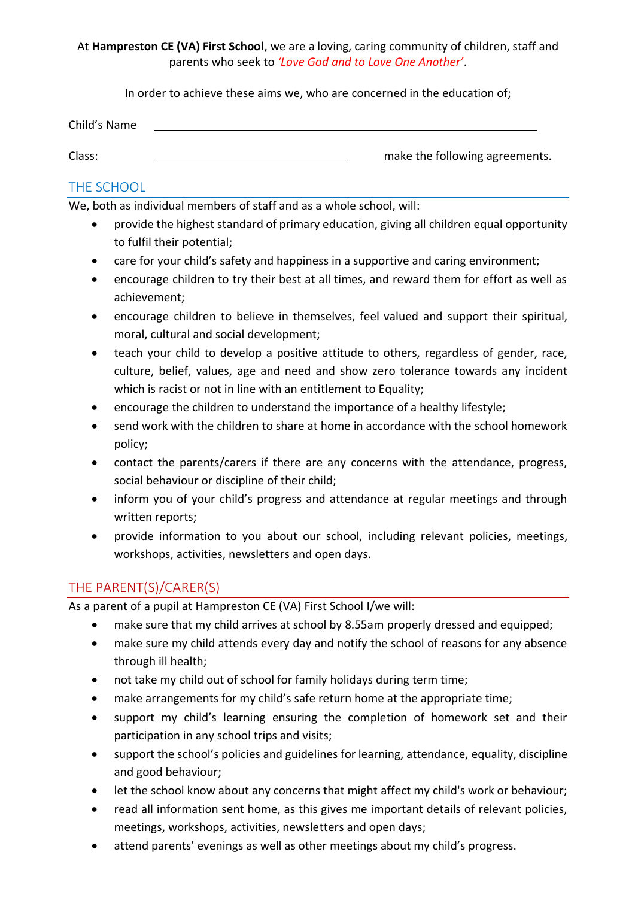At **Hampreston CE (VA) First School**, we are a loving, caring community of children, staff and parents who seek to *'Love God and to Love One Another'*.

In order to achieve these aims we, who are concerned in the education of;

| Child's Name |                                |
|--------------|--------------------------------|
|              |                                |
| Class:       | make the following agreements. |

#### THE SCHOOL

We, both as individual members of staff and as a whole school, will:

- provide the highest standard of primary education, giving all children equal opportunity to fulfil their potential;
- care for your child's safety and happiness in a supportive and caring environment;
- encourage children to try their best at all times, and reward them for effort as well as achievement;
- encourage children to believe in themselves, feel valued and support their spiritual, moral, cultural and social development;
- teach your child to develop a positive attitude to others, regardless of gender, race, culture, belief, values, age and need and show zero tolerance towards any incident which is racist or not in line with an entitlement to Equality;
- encourage the children to understand the importance of a healthy lifestyle;
- send work with the children to share at home in accordance with the school homework policy;
- contact the parents/carers if there are any concerns with the attendance, progress, social behaviour or discipline of their child;
- inform you of your child's progress and attendance at regular meetings and through written reports;
- provide information to you about our school, including relevant policies, meetings, workshops, activities, newsletters and open days.

## THE PARENT(S)/CARER(S)

As a parent of a pupil at Hampreston CE (VA) First School I/we will:

- make sure that my child arrives at school by 8.55am properly dressed and equipped;
- make sure my child attends every day and notify the school of reasons for any absence through ill health;
- not take my child out of school for family holidays during term time;
- make arrangements for my child's safe return home at the appropriate time;
- support my child's learning ensuring the completion of homework set and their participation in any school trips and visits;
- support the school's policies and guidelines for learning, attendance, equality, discipline and good behaviour;
- let the school know about any concerns that might affect my child's work or behaviour;
- read all information sent home, as this gives me important details of relevant policies, meetings, workshops, activities, newsletters and open days;
- attend parents' evenings as well as other meetings about my child's progress.